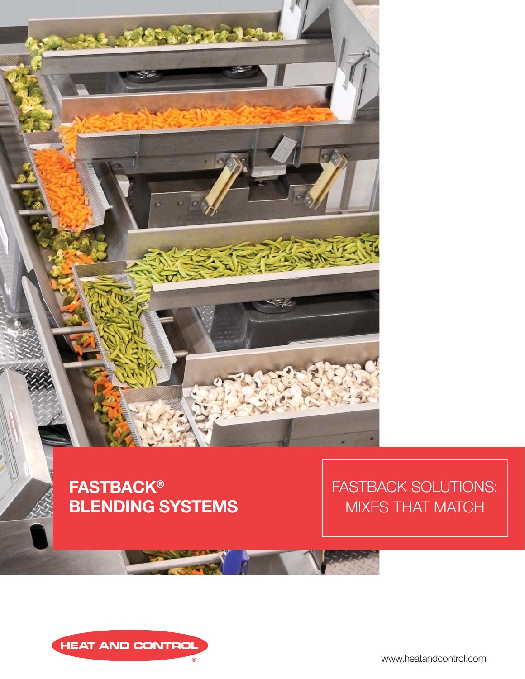

**FASTBACK® BLENDING SYSTEMS** FASTBACK SOLUTIONS: MIXES THAT MATCH



www.heatandcontrol.com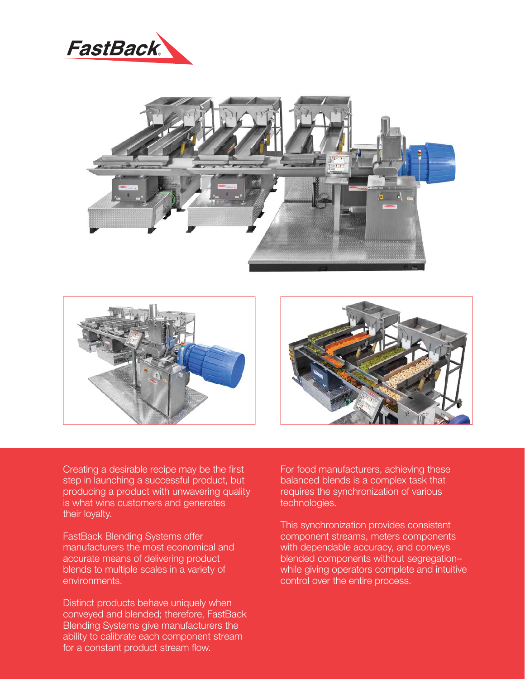





Creating a desirable recipe may be the first step in launching a successful product, but producing a product with unwavering quality is what wins customers and generates their loyalty.

FastBack Blending Systems offer manufacturers the most economical and accurate means of delivering product blends to multiple scales in a variety of environments.

Distinct products behave uniquely when conveyed and blended; therefore, FastBack Blending Systems give manufacturers the ability to calibrate each component stream for a constant product stream flow.

For food manufacturers, achieving these balanced blends is a complex task that requires the synchronization of various technologies.

This synchronization provides consistent component streams, meters components with dependable accuracy, and conveys blended components without segregation– while giving operators complete and intuitive control over the entire process.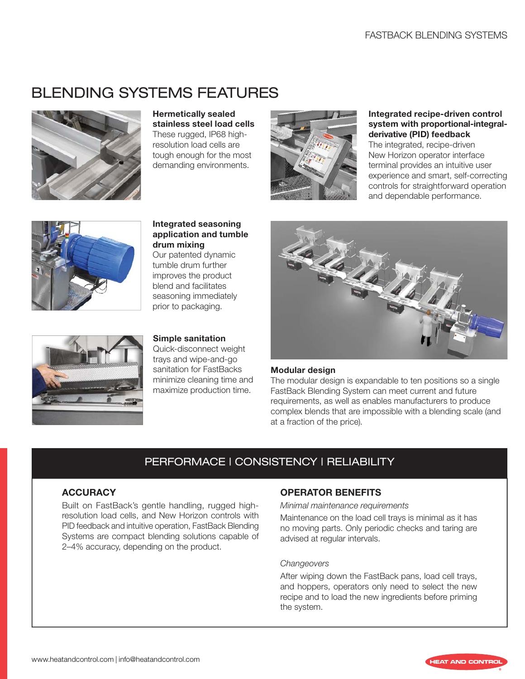# BLENDING SYSTEMS FEATURES



**Hermetically sealed stainless steel load cells** These rugged, IP68 highresolution load cells are tough enough for the most demanding environments.



#### **Integrated recipe-driven control system with proportional-integralderivative (PID) feedback**

The integrated, recipe-driven New Horizon operator interface terminal provides an intuitive user experience and smart, self-correcting controls for straightforward operation and dependable performance.



**Integrated seasoning application and tumble drum mixing** Our patented dynamic

tumble drum further improves the product blend and facilitates seasoning immediately prior to packaging.



### **Simple sanitation**

Quick-disconnect weight trays and wipe-and-go sanitation for FastBacks minimize cleaning time and maximize production time.



#### **Modular design**

The modular design is expandable to ten positions so a single FastBack Blending System can meet current and future requirements, as well as enables manufacturers to produce complex blends that are impossible with a blending scale (and at a fraction of the price).

## PERFORMACE | CONSISTENCY | RELIABILITY

#### **ACCURACY**

Built on FastBack's gentle handling, rugged highresolution load cells, and New Horizon controls with PID feedback and intuitive operation, FastBack Blending Systems are compact blending solutions capable of 2–4% accuracy, depending on the product.

#### **OPERATOR BENEFITS**

Minimal maintenance requirements

Maintenance on the load cell trays is minimal as it has no moving parts. Only periodic checks and taring are advised at regular intervals.

#### **Changeovers**

After wiping down the FastBack pans, load cell trays, and hoppers, operators only need to select the new recipe and to load the new ingredients before priming the system.